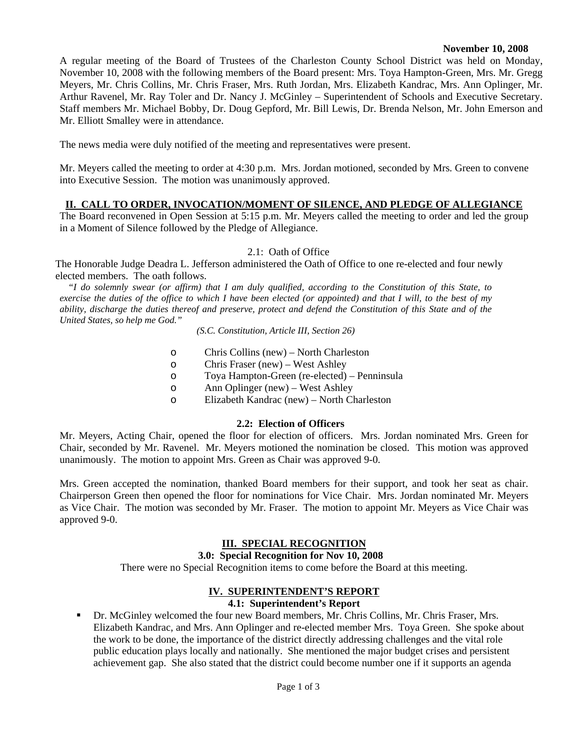#### **November 10, 2008**

A regular meeting of the Board of Trustees of the Charleston County School District was held on Monday, November 10, 2008 with the following members of the Board present: Mrs. Toya Hampton-Green, Mrs. Mr. Gregg Meyers, Mr. Chris Collins, Mr. Chris Fraser, Mrs. Ruth Jordan, Mrs. Elizabeth Kandrac, Mrs. Ann Oplinger, Mr. Arthur Ravenel, Mr. Ray Toler and Dr. Nancy J. McGinley – Superintendent of Schools and Executive Secretary. Staff members Mr. Michael Bobby, Dr. Doug Gepford, Mr. Bill Lewis, Dr. Brenda Nelson, Mr. John Emerson and Mr. Elliott Smalley were in attendance.

The news media were duly notified of the meeting and representatives were present.

Mr. Meyers called the meeting to order at 4:30 p.m. Mrs. Jordan motioned, seconded by Mrs. Green to convene into Executive Session. The motion was unanimously approved.

# **II. CALL TO ORDER, INVOCATION/MOMENT OF SILENCE, AND PLEDGE OF ALLEGIANCE**

The Board reconvened in Open Session at 5:15 p.m. Mr. Meyers called the meeting to order and led the group in a Moment of Silence followed by the Pledge of Allegiance.

### 2.1: Oath of Office

The Honorable Judge Deadra L. Jefferson administered the Oath of Office to one re-elected and four newly elected members. The oath follows.

*"I do solemnly swear (or affirm) that I am duly qualified, according to the Constitution of this State, to exercise the duties of the office to which I have been elected (or appointed) and that I will, to the best of my ability, discharge the duties thereof and preserve, protect and defend the Constitution of this State and of the United States, so help me God."* 

*(S.C. Constitution, Article III, Section 26)*

- o Chris Collins (new) North Charleston
- o Chris Fraser (new) West Ashley
- o Toya Hampton-Green (re-elected) Penninsula
- o Ann Oplinger (new) West Ashley
- o Elizabeth Kandrac (new) North Charleston

# **2.2: Election of Officers**

Mr. Meyers, Acting Chair, opened the floor for election of officers. Mrs. Jordan nominated Mrs. Green for Chair, seconded by Mr. Ravenel. Mr. Meyers motioned the nomination be closed. This motion was approved unanimously. The motion to appoint Mrs. Green as Chair was approved 9-0.

Mrs. Green accepted the nomination, thanked Board members for their support, and took her seat as chair. Chairperson Green then opened the floor for nominations for Vice Chair. Mrs. Jordan nominated Mr. Meyers as Vice Chair. The motion was seconded by Mr. Fraser. The motion to appoint Mr. Meyers as Vice Chair was approved 9-0.

# **III. SPECIAL RECOGNITION**

#### **3.0: Special Recognition for Nov 10, 2008**

There were no Special Recognition items to come before the Board at this meeting.

#### **IV. SUPERINTENDENT'S REPORT**

#### **4.1: Superintendent's Report**

 Dr. McGinley welcomed the four new Board members, Mr. Chris Collins, Mr. Chris Fraser, Mrs. Elizabeth Kandrac, and Mrs. Ann Oplinger and re-elected member Mrs. Toya Green. She spoke about the work to be done, the importance of the district directly addressing challenges and the vital role public education plays locally and nationally. She mentioned the major budget crises and persistent achievement gap. She also stated that the district could become number one if it supports an agenda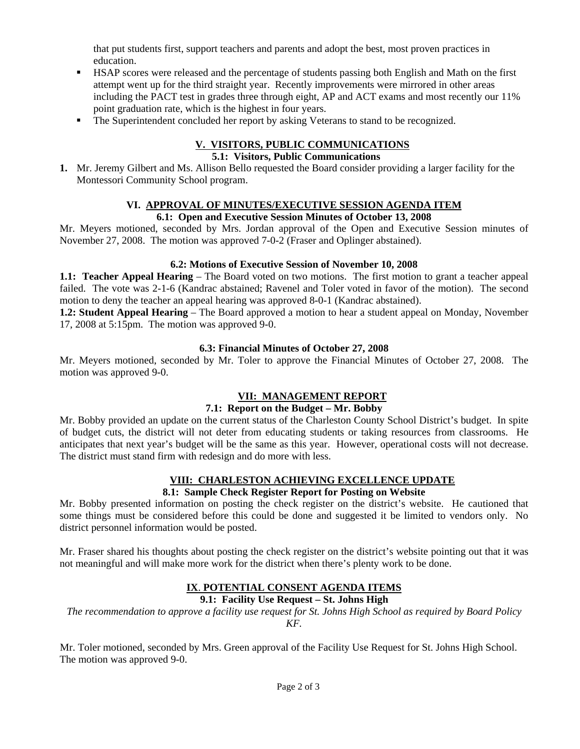that put students first, support teachers and parents and adopt the best, most proven practices in education.

- HSAP scores were released and the percentage of students passing both English and Math on the first attempt went up for the third straight year. Recently improvements were mirrored in other areas including the PACT test in grades three through eight, AP and ACT exams and most recently our 11% point graduation rate, which is the highest in four years.
- The Superintendent concluded her report by asking Veterans to stand to be recognized.

#### **V. VISITORS, PUBLIC COMMUNICATIONS 5.1: Visitors, Public Communications**

**1.** Mr. Jeremy Gilbert and Ms. Allison Bello requested the Board consider providing a larger facility for the Montessori Community School program.

#### **VI. APPROVAL OF MINUTES/EXECUTIVE SESSION AGENDA ITEM 6.1: Open and Executive Session Minutes of October 13, 2008**

Mr. Meyers motioned, seconded by Mrs. Jordan approval of the Open and Executive Session minutes of November 27, 2008. The motion was approved 7-0-2 (Fraser and Oplinger abstained).

### **6.2: Motions of Executive Session of November 10, 2008**

**1.1: Teacher Appeal Hearing** – The Board voted on two motions. The first motion to grant a teacher appeal failed. The vote was 2-1-6 (Kandrac abstained; Ravenel and Toler voted in favor of the motion). The second motion to deny the teacher an appeal hearing was approved 8-0-1 (Kandrac abstained).

**1.2: Student Appeal Hearing** – The Board approved a motion to hear a student appeal on Monday, November 17, 2008 at 5:15pm. The motion was approved 9-0.

### **6.3: Financial Minutes of October 27, 2008**

Mr. Meyers motioned, seconded by Mr. Toler to approve the Financial Minutes of October 27, 2008. The motion was approved 9-0.

# **VII: MANAGEMENT REPORT**

#### **7.1: Report on the Budget – Mr. Bobby**

Mr. Bobby provided an update on the current status of the Charleston County School District's budget. In spite of budget cuts, the district will not deter from educating students or taking resources from classrooms. He anticipates that next year's budget will be the same as this year. However, operational costs will not decrease. The district must stand firm with redesign and do more with less.

# **VIII: CHARLESTON ACHIEVING EXCELLENCE UPDATE**

#### **8.1: Sample Check Register Report for Posting on Website**

Mr. Bobby presented information on posting the check register on the district's website. He cautioned that some things must be considered before this could be done and suggested it be limited to vendors only. No district personnel information would be posted.

Mr. Fraser shared his thoughts about posting the check register on the district's website pointing out that it was not meaningful and will make more work for the district when there's plenty work to be done.

# **IX**. **POTENTIAL CONSENT AGENDA ITEMS**

# **9.1: Facility Use Request – St. Johns High**

*The recommendation to approve a facility use request for St. Johns High School as required by Board Policy KF.* 

Mr. Toler motioned, seconded by Mrs. Green approval of the Facility Use Request for St. Johns High School. The motion was approved 9-0.